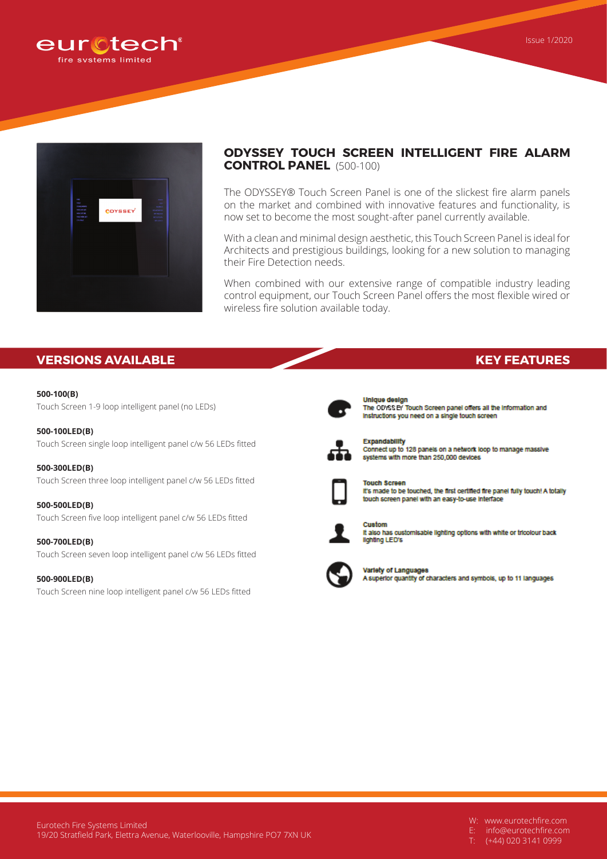



# **ODYSSEY TOUCH SCREEN INTELLIGENT FIRE ALARM CONTROL PANEL** (500-100)

The ODYSSEY® Touch Screen Panel is one of the slickest fire alarm panels on the market and combined with innovative features and functionality, is now set to become the most sought-after panel currently available.

With a clean and minimal design aesthetic, this Touch Screen Panel is ideal for Architects and prestigious buildings, looking for a new solution to managing their Fire Detection needs.

When combined with our extensive range of compatible industry leading control equipment, our Touch Screen Panel offers the most flexible wired or wireless fire solution available today.

## **VERSIONS AVAILABLE KEY FEATURES**

## **500-100(B)**

Touch Screen 1-9 loop intelligent panel (no LEDs)

#### **500-100LED(B)**

Touch Screen single loop intelligent panel c/w 56 LEDs fitted

**500-300LED(B)** Touch Screen three loop intelligent panel c/w 56 LEDs fitted

**500-500LED(B)** Touch Screen five loop intelligent panel c/w 56 LEDs fitted

**500-700LED(B)** Touch Screen seven loop intelligent panel c/w 56 LEDs fitted

#### **500-900LED(B)**

Touch Screen nine loop intelligent panel c/w 56 LEDs fitted



**Unique design** The ODYSS BY Touch Screen panel offers all the information and instructions you need on a single touch screen



Expandability Connect up to 128 panels on a network loop to manage massive systems with more than 250,000 devices



**Touch Screen** It's made to be touched, the first certified fire panel fully touch! A totally touch screen panel with an easy-to-use interface



Custom It also has customisable lighting options with white or tricolour back lighting LED's



Variety of Languages A superior quantity of characters and symbols, up to 11 languages

W: www.eurotechfire.com

E: info@eurotechfire.com

(+44) 020 3141 0999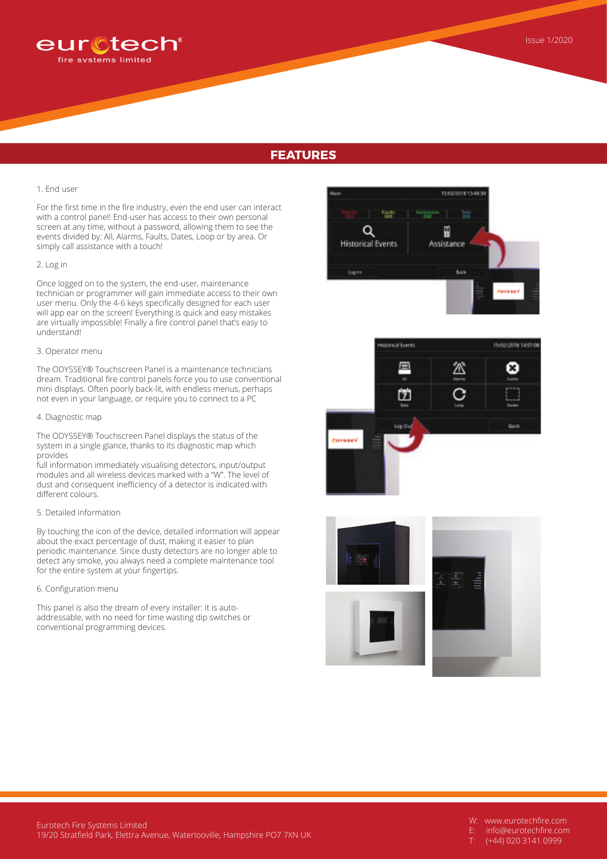

# **FEATURES**

#### 1. End user

For the first time in the fire industry, even the end user can interact with a control panel! End-user has access to their own personal screen at any time, without a password, allowing them to see the events divided by: All, Alarms, Faults, Dates, Loop or by area. Or simply call assistance with a touch!

#### 2. Log in

Once logged on to the system, the end-user, maintenance technician or programmer will gain immediate access to their own user menu. Only the 4-6 keys specifically designed for each user will app ear on the screen! Everything is quick and easy mistakes are virtually impossible! Finally a fire control panel that's easy to understand!

### 3. Operator menu

The ODYSSEY® Touchscreen Panel is a maintenance technicians dream. Traditional fire control panels force you to use conventional mini displays. Often poorly back-lit, with endless menus, perhaps not even in your language, or require you to connect to a PC

#### 4. Diagnostic map

The ODYSSEY® Touchscreen Panel displays the status of the system in a single glance, thanks to its diagnostic map which provides

full information immediately visualising detectors, input/output modules and all wireless devices marked with a "W". The level of dust and consequent inefficiency of a detector is indicated with different colours.

#### 5. Detailed information

By touching the icon of the device, detailed information will appear about the exact percentage of dust, making it easier to plan periodic maintenance. Since dusty detectors are no longer able to detect any smoke, you always need a complete maintenance tool for the entire system at your fingertips.

#### 6. Configuration menu

This panel is also the dream of every installer: it is autoaddressable, with no need for time wasting dip switches or conventional programming devices.







- W: www.eurotechfire.com
- E: info@eurotechfire.com
- (+44) 020 3141 0999